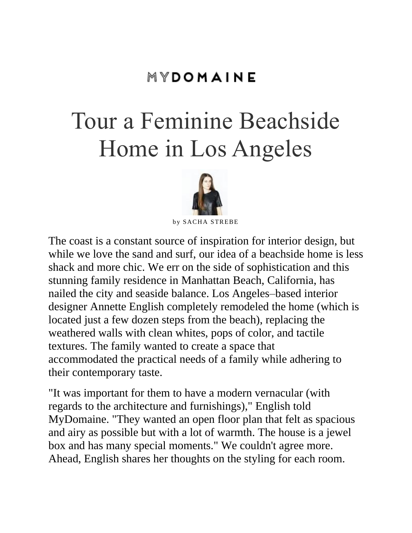### MYDOMAINE

# Tour a Feminine Beachside Home in Los Angeles



by SACHA STREBE

The coast is a constant source of inspiration for interior design, but while we love the sand and surf, our idea of a [beachside home](http://www.mydomaine.com/sydney-beach-house/) is less shack and more chic. We err on the side of sophistication and this stunning family residence in [Manhattan Beach,](http://www.mydomaine.com/manhattan-beach-drone-video) California, has nailed the city and seaside balance. Los Angeles–based interior designer [Annette English](http://annetteenglish.com/) completely remodeled the home (which is located just a few dozen steps from the beach), replacing the weathered walls with clean whites, pops of color, and tactile textures. The family wanted to create a space that accommodated the practical needs of a family while adhering to their contemporary taste.

"It was important for them to have a modern vernacular (with regards to the architecture and furnishings)," English told MyDomaine. "They wanted an open floor plan that felt as spacious and airy as possible but with a lot of warmth. The house is a jewel box and has many special moments." We couldn't agree more. Ahead, English shares her thoughts on the styling for each room.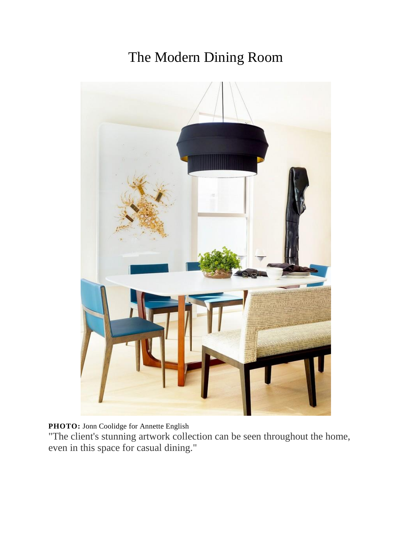### The Modern Dining Room



**PHOTO:** [Jonn Coolidge](http://www.jonncoolidge.com/) for [Annette English](http://annetteenglish.com/)

"The client's stunning artwork collection can be seen throughout the home, even in this space for casual dining."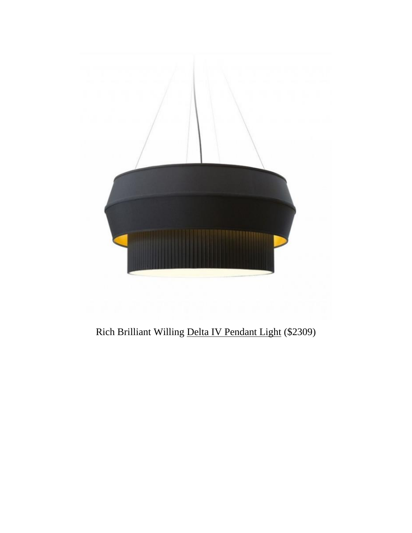

### Rich Brilliant Willing [Delta IV Pendant Light](http://www.ylighting.com/rich-brilliant-willing-delta-iv-pendant.html?source=pla_gg_RBW-DELTA-IV-PENDANT_rich-brilliant-willing-delta-iv-pendant_258288428_22872947588&utm_medium=pla&utm_source=cpc&gclid=CP2gq_GPs84CFQSVfgodtCsOtQ) (\$2309)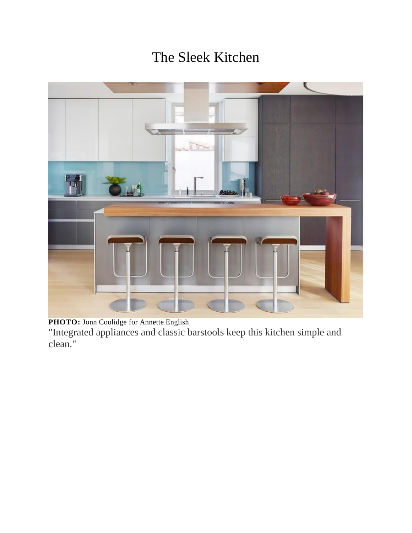### The Sleek Kitchen



**PHOTO:** [Jonn Coolidge](http://www.jonncoolidge.com/) for [Annette English](http://annetteenglish.com/)

"Integrated appliances and classic barstools keep this kitchen simple and clean."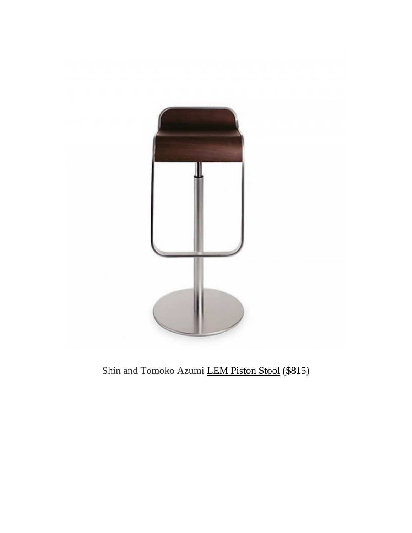

Shin and Tomoko Azumi **[LEM Piston Stool](http://www.dwr.com/dining-chairs-and-stools/lem-piston-stool/5137.html?lang=en_US)** (\$815)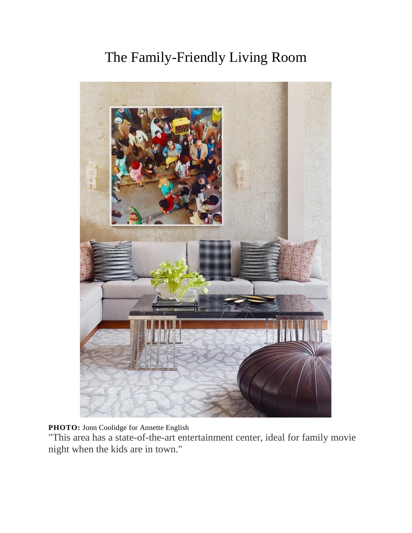### The Family-Friendly Living Room



**PHOTO:** [Jonn Coolidge](http://www.jonncoolidge.com/) for [Annette English](http://annetteenglish.com/)

"This area has a state-of-the-art entertainment center, ideal for family movie night when the kids are in town."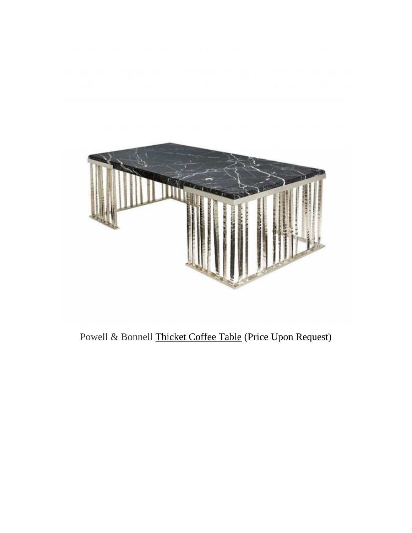

Powell & Bonnell [Thicket Coffee Table](https://deringhall.com/thicket-coffee-table-by-powell-bonnell--3) (Price Upon Request)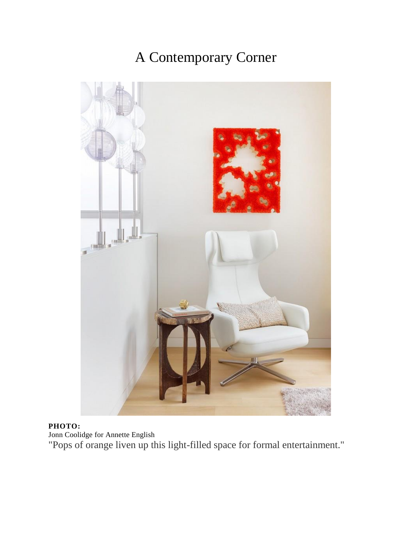### A Contemporary Corner



### **PHOTO:**

[Jonn Coolidge](http://www.jonncoolidge.com/) for [Annette English](http://annetteenglish.com/)

"Pops of orange liven up this light-filled space for formal entertainment."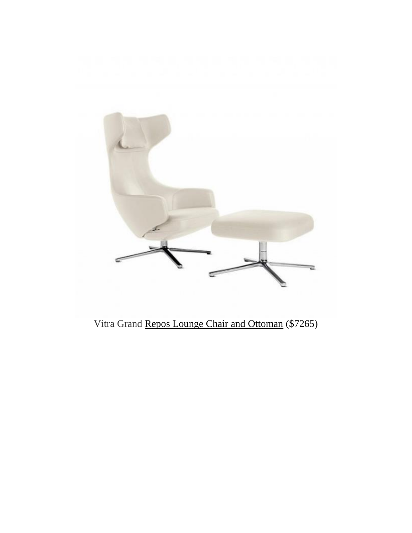

### Vitra Grand [Repos Lounge Chair and Ottoman](http://www.dwr.com/living-lounge-chairs/grand-repos-lounge-chair-and-ottoman/8972581.html?lang=en_US&adpos=1o2&creative=96969740079&device=c&matchtype=&network=g&gclid=CKfSluaRs84CFUGSfgodYdAHkA) (\$7265)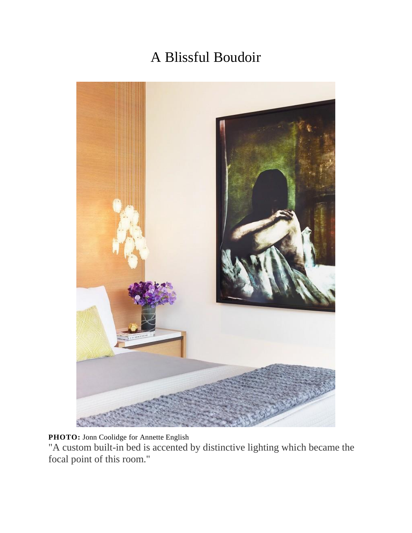## A Blissful Boudoir



**PHOTO:** [Jonn Coolidge](http://www.jonncoolidge.com/) for [Annette English](http://annetteenglish.com/)

"A custom built-in bed is accented by distinctive lighting which became the focal point of this room."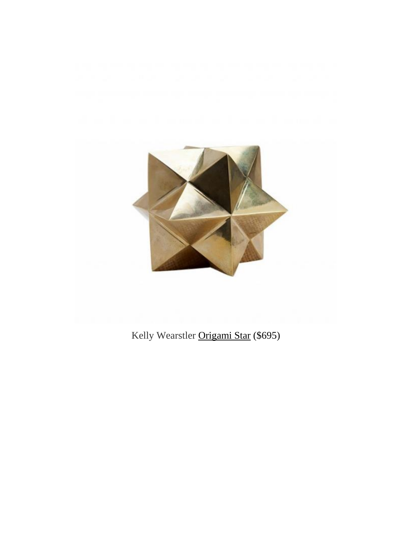

### Kelly Wearstler [Origami Star](http://www.kellywearstler.com/sculpture/origami-star/HDC0093.html?cgid=sculpture&dwvar_HDC0093_color=BRON#start=1) (\$695)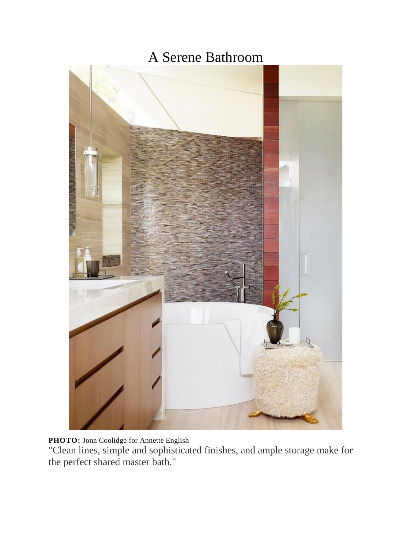### A Serene Bathroom



**PHOTO:** [Jonn Coolidge](http://www.jonncoolidge.com/) for [Annette English](http://annetteenglish.com/)

"Clean lines, simple and sophisticated finishes, and ample storage make for the perfect shared master bath."